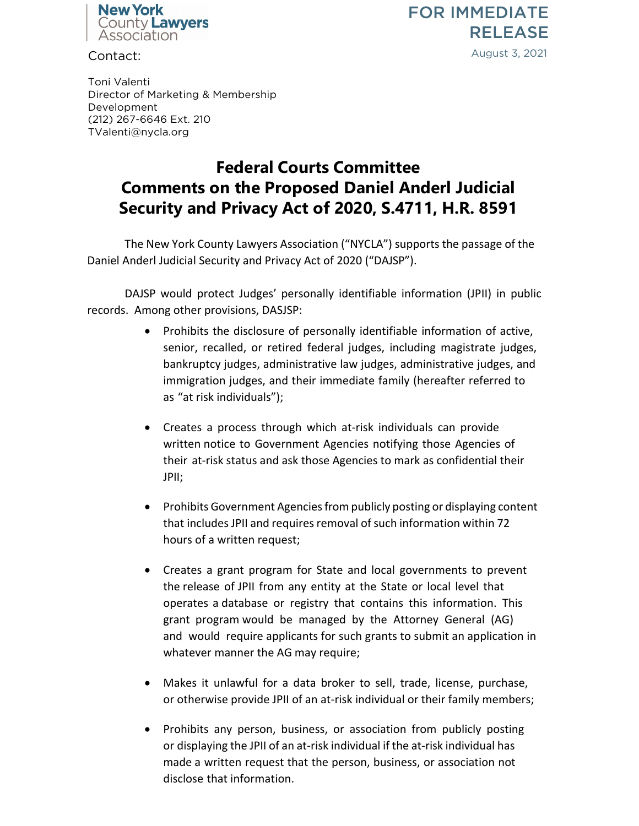

FOR IMMEDIATE RELEASE August 3, 2021

Contact:

Toni Valenti Director of Marketing & Membership Development (212) 267-6646 Ext. 210 TValenti@nycla.org

## **Federal Courts Committee Comments on the Proposed Daniel Anderl Judicial Security and Privacy Act of 2020, S.4711, H.R. 8591**

The New York County Lawyers Association ("NYCLA") supports the passage of the Daniel Anderl Judicial Security and Privacy Act of 2020 ("DAJSP").

DAJSP would protect Judges' personally identifiable information (JPII) in public records. Among other provisions, DASJSP:

- Prohibits the disclosure of personally identifiable information of active, senior, recalled, or retired federal judges, including magistrate judges, bankruptcy judges, administrative law judges, administrative judges, and immigration judges, and their immediate family (hereafter referred to as "at risk individuals");
- Creates a process through which at-risk individuals can provide written notice to Government Agencies notifying those Agencies of their at-risk status and ask those Agencies to mark as confidential their JPII;
- Prohibits Government Agencies from publicly posting or displaying content that includes JPII and requires removal of such information within 72 hours of a written request;
- Creates a grant program for State and local governments to prevent the release of JPII from any entity at the State or local level that operates a database or registry that contains this information. This grant program would be managed by the Attorney General (AG) and would require applicants for such grants to submit an application in whatever manner the AG may require;
- Makes it unlawful for a data broker to sell, trade, license, purchase, or otherwise provide JPII of an at-risk individual or their family members;
- Prohibits any person, business, or association from publicly posting or displaying the JPII of an at-risk individual if the at-risk individual has made a written request that the person, business, or association not disclose that information.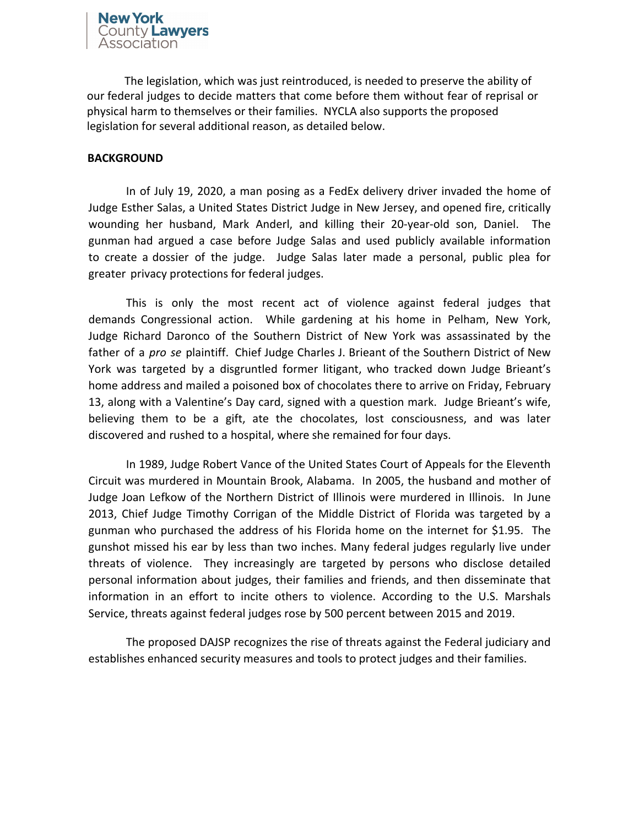The legislation, which was just reintroduced, is needed to preserve the ability of our federal judges to decide matters that come before them without fear of reprisal or physical harm to themselves or their families. NYCLA also supports the proposed legislation for several additional reason, as detailed below.

## **BACKGROUND**

In of July 19, 2020, a man posing as a FedEx delivery driver invaded the home of Judge Esther Salas, a United States District Judge in New Jersey, and opened fire, critically wounding her husband, Mark Anderl, and killing [their 20-year-old son, Daniel. The](https://www.cnn.com/2020/08/03/us/federal-judge-esther-salas/index.html)  [gunman had argued a case](https://www.cnn.com/2020/08/03/us/federal-judge-esther-salas/index.html) before Judge Salas and used publicly available information to create a dossier of the judge. Judge Salas later made a personal, public plea for greater privacy protections for federal judges.

This is only the most recent act of violence against federal judges that demands Congressional action. While gardening at his home in Pelham, New York, Judge Richard Daronco of the Southern District of New York was assassinated by the father of a *pro se* plaintiff. Chief Judge Charles J. Brieant of the Southern District of New York was targeted by a disgruntled former litigant, who tracked down Judge Brieant's home address and mailed a poisoned box of chocolates there to arrive on Friday, February 13, along with a Valentine's Day card, signed with a question mark. Judge Brieant's wife, believing them to be a gift, ate the chocolates, lost consciousness, and was later discovered and rushed to a hospital, where she remained for four days.

In 1989, Judge Robert Vance of the United States Court of Appeals for the Eleventh Circuit was murdered in Mountain Brook, Alabama. In 2005, the husband and mother of Judge Joan Lefkow of the Northern District of Illinois were murdered in Illinois. In June 2013, Chief Judge Timothy Corrigan of the Middle District of Florida was targeted by a gunman who purchased the address of his Florida home on the internet for \$1.95. The gunshot missed his ear by less than two inches. Many federal judges regularly live under threats of violence. They increasingly are targeted by persons who disclose detailed personal information about judges, their families and friends, and then disseminate that information in an effort to incite others to violence. According to the U.S. Marshals Service, threats against federal judges rose by 500 percent between 2015 and 2019.

The proposed DAJSP recognizes the rise of threats against the Federal judiciary and establishes enhanced security measures and tools to protect judges and their families.